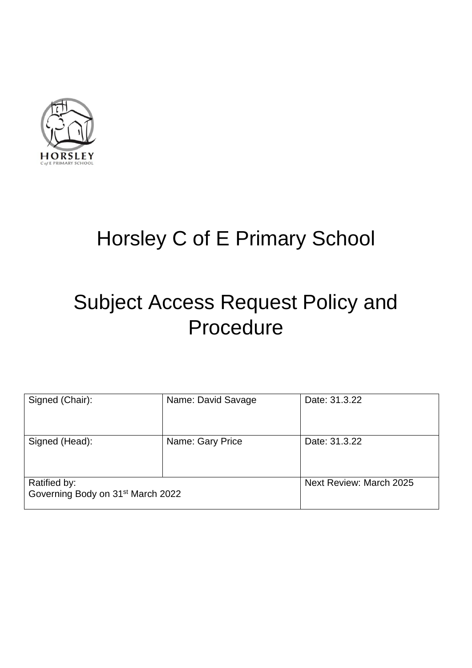

# <span id="page-0-0"></span>Horsley C of E Primary School

# <span id="page-0-7"></span><span id="page-0-4"></span><span id="page-0-3"></span><span id="page-0-1"></span>Subject Access Request Policy and Procedure

<span id="page-0-10"></span><span id="page-0-9"></span><span id="page-0-8"></span><span id="page-0-6"></span><span id="page-0-5"></span><span id="page-0-2"></span>

| Signed (Chair):                                               | Name: David Savage | Date: 31.3.22           |
|---------------------------------------------------------------|--------------------|-------------------------|
| Signed (Head):                                                | Name: Gary Price   | Date: 31.3.22           |
| Ratified by:<br>Governing Body on 31 <sup>st</sup> March 2022 |                    | Next Review: March 2025 |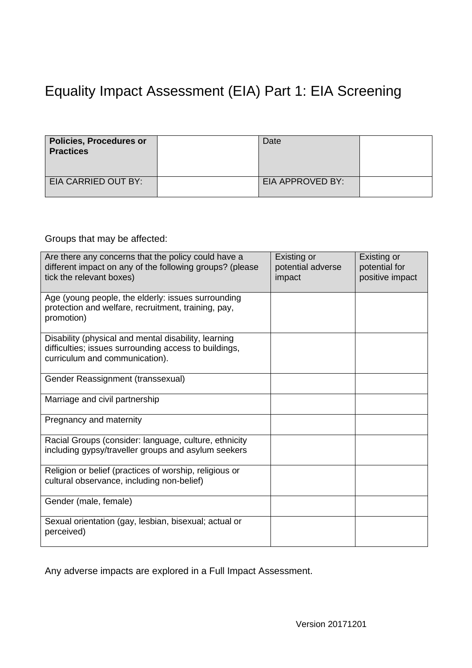### <span id="page-1-0"></span>Equality Impact Assessment (EIA) Part 1: EIA Screening

| <b>Policies, Procedures or</b><br><b>Practices</b> | Date             |  |
|----------------------------------------------------|------------------|--|
| EIA CARRIED OUT BY:                                | EIA APPROVED BY: |  |

#### Groups that may be affected:

| Are there any concerns that the policy could have a<br>different impact on any of the following groups? (please<br>tick the relevant boxes)     | Existing or<br>potential adverse<br>impact | Existing or<br>potential for<br>positive impact |
|-------------------------------------------------------------------------------------------------------------------------------------------------|--------------------------------------------|-------------------------------------------------|
| Age (young people, the elderly: issues surrounding<br>protection and welfare, recruitment, training, pay,<br>promotion)                         |                                            |                                                 |
| Disability (physical and mental disability, learning<br>difficulties; issues surrounding access to buildings,<br>curriculum and communication). |                                            |                                                 |
| Gender Reassignment (transsexual)                                                                                                               |                                            |                                                 |
| Marriage and civil partnership                                                                                                                  |                                            |                                                 |
| Pregnancy and maternity                                                                                                                         |                                            |                                                 |
| Racial Groups (consider: language, culture, ethnicity<br>including gypsy/traveller groups and asylum seekers                                    |                                            |                                                 |
| Religion or belief (practices of worship, religious or<br>cultural observance, including non-belief)                                            |                                            |                                                 |
| Gender (male, female)                                                                                                                           |                                            |                                                 |
| Sexual orientation (gay, lesbian, bisexual; actual or<br>perceived)                                                                             |                                            |                                                 |

Any adverse impacts are explored in a Full Impact Assessment.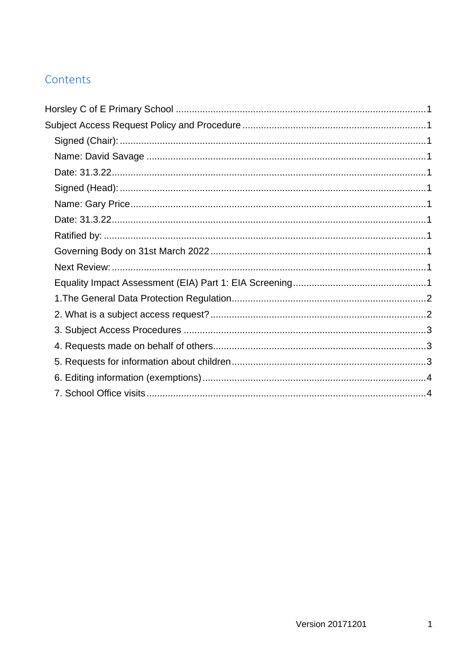#### Contents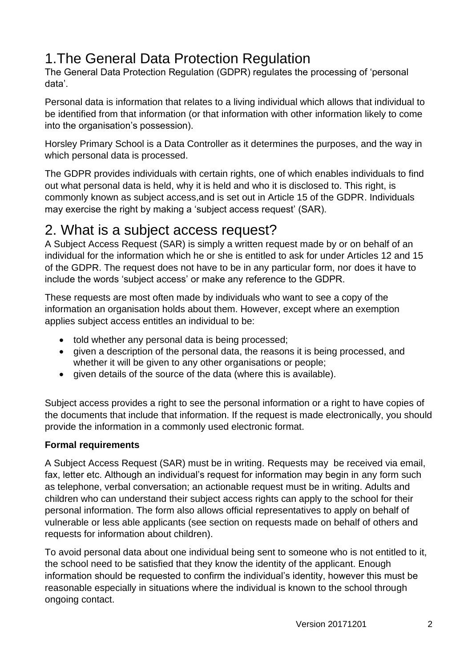## <span id="page-3-0"></span>1.The General Data Protection Regulation

The General Data Protection Regulation (GDPR) regulates the processing of 'personal data'.

Personal data is information that relates to a living individual which allows that individual to be identified from that information (or that information with other information likely to come into the organisation's possession).

Horsley Primary School is a Data Controller as it determines the purposes, and the way in which personal data is processed.

The GDPR provides individuals with certain rights, one of which enables individuals to find out what personal data is held, why it is held and who it is disclosed to. This right, is commonly known as subject access,and is set out in Article 15 of the GDPR. Individuals may exercise the right by making a 'subject access request' (SAR).

### <span id="page-3-1"></span>2. What is a subject access request?

A Subject Access Request (SAR) is simply a written request made by or on behalf of an individual for the information which he or she is entitled to ask for under Articles 12 and 15 of the GDPR. The request does not have to be in any particular form, nor does it have to include the words 'subject access' or make any reference to the GDPR.

These requests are most often made by individuals who want to see a copy of the information an organisation holds about them. However, except where an exemption applies subject access entitles an individual to be:

- told whether any personal data is being processed;
- given a description of the personal data, the reasons it is being processed, and whether it will be given to any other organisations or people;
- given details of the source of the data (where this is available).

Subject access provides a right to see the personal information or a right to have copies of the documents that include that information. If the request is made electronically, you should provide the information in a commonly used electronic format.

#### **Formal requirements**

A Subject Access Request (SAR) must be in writing. Requests may be received via email, fax, letter etc. Although an individual's request for information may begin in any form such as telephone, verbal conversation; an actionable request must be in writing. Adults and children who can understand their subject access rights can apply to the school for their personal information. The form also allows official representatives to apply on behalf of vulnerable or less able applicants (see section on requests made on behalf of others and requests for information about children).

To avoid personal data about one individual being sent to someone who is not entitled to it, the school need to be satisfied that they know the identity of the applicant. Enough information should be requested to confirm the individual's identity, however this must be reasonable especially in situations where the individual is known to the school through ongoing contact.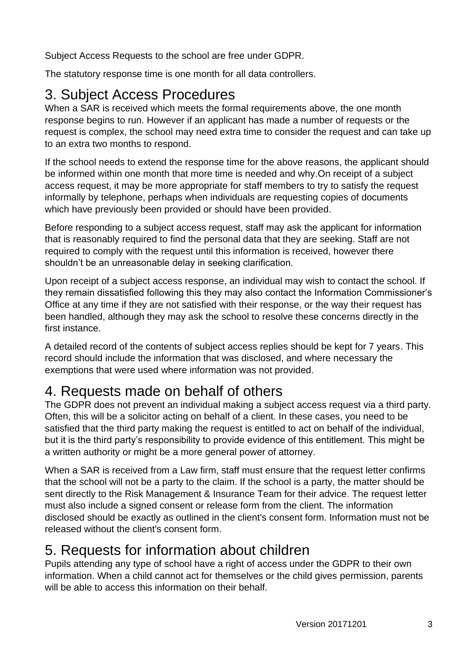Subject Access Requests to the school are free under GDPR.

The statutory response time is one month for all data controllers.

## <span id="page-4-0"></span>3. Subject Access Procedures

When a SAR is received which meets the formal requirements above, the one month response begins to run. However if an applicant has made a number of requests or the request is complex, the school may need extra time to consider the request and can take up to an extra two months to respond.

If the school needs to extend the response time for the above reasons, the applicant should be informed within one month that more time is needed and why.On receipt of a subject access request, it may be more appropriate for staff members to try to satisfy the request informally by telephone, perhaps when individuals are requesting copies of documents which have previously been provided or should have been provided.

Before responding to a subject access request, staff may ask the applicant for information that is reasonably required to find the personal data that they are seeking. Staff are not required to comply with the request until this information is received, however there shouldn't be an unreasonable delay in seeking clarification.

Upon receipt of a subject access response, an individual may wish to contact the school. If they remain dissatisfied following this they may also contact the Information Commissioner's Office at any time if they are not satisfied with their response, or the way their request has been handled, although they may ask the school to resolve these concerns directly in the first instance.

A detailed record of the contents of subject access replies should be kept for 7 years. This record should include the information that was disclosed, and where necessary the exemptions that were used where information was not provided.

## <span id="page-4-1"></span>4. Requests made on behalf of others

The GDPR does not prevent an individual making a subject access request via a third party. Often, this will be a solicitor acting on behalf of a client. In these cases, you need to be satisfied that the third party making the request is entitled to act on behalf of the individual, but it is the third party's responsibility to provide evidence of this entitlement. This might be a written authority or might be a more general power of attorney.

When a SAR is received from a Law firm, staff must ensure that the request letter confirms that the school will not be a party to the claim. If the school is a party, the matter should be sent directly to the Risk Management & Insurance Team for their advice. The request letter must also include a signed consent or release form from the client. The information disclosed should be exactly as outlined in the client's consent form. Information must not be released without the client's consent form.

## <span id="page-4-2"></span>5. Requests for information about children

Pupils attending any type of school have a right of access under the GDPR to their own information. When a child cannot act for themselves or the child gives permission, parents will be able to access this information on their behalf.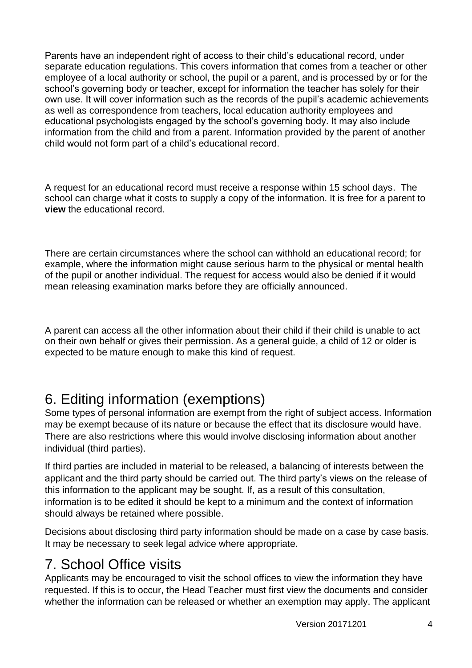Parents have an independent right of access to their child's educational record, under separate education regulations. This covers information that comes from a teacher or other employee of a local authority or school, the pupil or a parent, and is processed by or for the school's governing body or teacher, except for information the teacher has solely for their own use. It will cover information such as the records of the pupil's academic achievements as well as correspondence from teachers, local education authority employees and educational psychologists engaged by the school's governing body. It may also include information from the child and from a parent. Information provided by the parent of another child would not form part of a child's educational record.

A request for an educational record must receive a response within 15 school days. The school can charge what it costs to supply a copy of the information. It is free for a parent to **view** the educational record.

There are certain circumstances where the school can withhold an educational record; for example, where the information might cause serious harm to the physical or mental health of the pupil or another individual. The request for access would also be denied if it would mean releasing examination marks before they are officially announced.

A parent can access all the other information about their child if their child is unable to act on their own behalf or gives their permission. As a general guide, a child of 12 or older is expected to be mature enough to make this kind of request.

## <span id="page-5-0"></span>6. Editing information (exemptions)

Some types of personal information are exempt from the right of subject access. Information may be exempt because of its nature or because the effect that its disclosure would have. There are also restrictions where this would involve disclosing information about another individual (third parties).

If third parties are included in material to be released, a balancing of interests between the applicant and the third party should be carried out. The third party's views on the release of this information to the applicant may be sought. If, as a result of this consultation, information is to be edited it should be kept to a minimum and the context of information should always be retained where possible.

Decisions about disclosing third party information should be made on a case by case basis. It may be necessary to seek legal advice where appropriate.

### <span id="page-5-1"></span>7. School Office visits

Applicants may be encouraged to visit the school offices to view the information they have requested. If this is to occur, the Head Teacher must first view the documents and consider whether the information can be released or whether an exemption may apply. The applicant